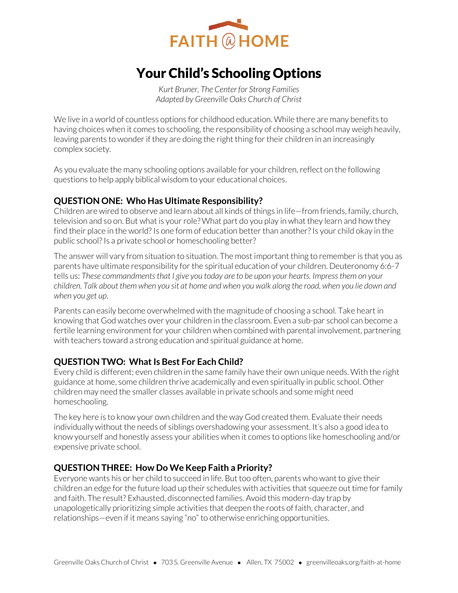

# Your Child's Schooling Options

*Kurt Bruner, The Center for Strong Families Adapted by Greenville Oaks Church of Christ* 

We live in a world of countless options for childhood education. While there are many benefits to having choices when it comes to schooling, the responsibility of choosing a school may weigh heavily, leaving parents to wonder if they are doing the right thing for their children in an increasingly complex society.

As you evaluate the many schooling options available for your children, reflect on the following questions to help apply biblical wisdom to your educational choices.

### **QUESTION ONE: Who Has Ultimate Responsibility?**

Children are wired to observe and learn about all kinds of things in life—from friends, family, church, television and so on. But what is your role? What part do you play in what they learn and how they find their place in the world? Is one form of education better than another? Is your child okay in the public school? Is a private school or homeschooling better?

The answer will vary from situation to situation. The most important thing to remember is that you as parents have ultimate responsibility for the spiritual education of your children. Deuteronomy 6:6-7 tells us: *These commandments that I give you today are to be upon your hearts. Impress them on your children. Talk about them when you sit at home and when you walk along the road, when you lie down and when you get up.*

Parents can easily become overwhelmed with the magnitude of choosing a school. Take heart in knowing that God watches over your children in the classroom. Even a sub-par school can become a fertile learning environment for your children when combined with parental involvement, partnering with teachers toward a strong education and spiritual guidance at home.

## **QUESTION TWO: What Is Best For Each Child?**

Every child is different; even children in the same family have their own unique needs. With the right guidance at home, some children thrive academically and even spiritually in public school. Other children may need the smaller classes available in private schools and some might need homeschooling.

The key here is to know your own children and the way God created them. Evaluate their needs individually without the needs of siblings overshadowing your assessment. It's also a good idea to know yourself and honestly assess your abilities when it comes to options like homeschooling and/or expensive private school.

### **QUESTION THREE: How Do We Keep Faith a Priority?**

Everyone wants his or her child to succeed in life. But too often, parents who want to give their children an edge for the future load up their schedules with activities that squeeze out time for family and faith. The result? Exhausted, disconnected families. Avoid this modern-day trap by unapologetically prioritizing simple activities that deepen the roots of faith, character, and relationships—even if it means saying "no" to otherwise enriching opportunities.